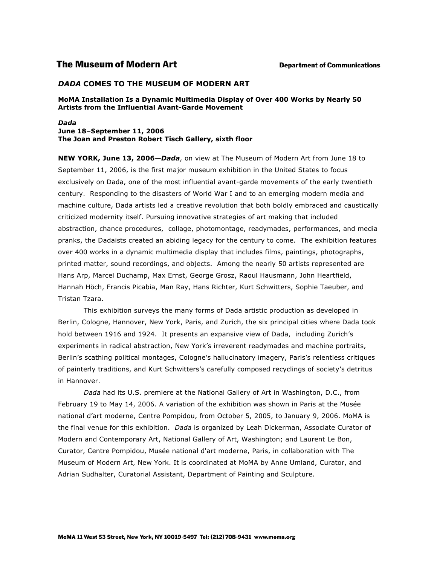# **The Museum of Modern Art**

# *DADA* **COMES TO THE MUSEUM OF MODERN ART**

### **MoMA Installation Is a Dynamic Multimedia Display of Over 400 Works by Nearly 50 Artists from the Influential Avant-Garde Movement**

#### *Dada*  **June 18–September 11, 2006 The Joan and Preston Robert Tisch Gallery, sixth floor**

**NEW YORK, June 13, 2006***—Dada*, on view at The Museum of Modern Art from June 18 to September 11, 2006, is the first major museum exhibition in the United States to focus exclusively on Dada, one of the most influential avant-garde movements of the early twentieth century. Responding to the disasters of World War I and to an emerging modern media and machine culture, Dada artists led a creative revolution that both boldly embraced and caustically criticized modernity itself. Pursuing innovative strategies of art making that included abstraction, chance procedures, collage, photomontage, readymades, performances, and media pranks, the Dadaists created an abiding legacy for the century to come. The exhibition features over 400 works in a dynamic multimedia display that includes films, paintings, photographs, printed matter, sound recordings, and objects. Among the nearly 50 artists represented are Hans Arp, Marcel Duchamp, Max Ernst, George Grosz, Raoul Hausmann, John Heartfield, Hannah Höch, Francis Picabia, Man Ray, Hans Richter, Kurt Schwitters, Sophie Taeuber, and Tristan Tzara.

This exhibition surveys the many forms of Dada artistic production as developed in Berlin, Cologne, Hannover, New York, Paris, and Zurich, the six principal cities where Dada took hold between 1916 and 1924. It presents an expansive view of Dada, including Zurich's experiments in radical abstraction, New York's irreverent readymades and machine portraits, Berlin's scathing political montages, Cologne's hallucinatory imagery, Paris's relentless critiques of painterly traditions, and Kurt Schwitters's carefully composed recyclings of society's detritus in Hannover.

*Dada* had its U.S. premiere at the National Gallery of Art in Washington, D.C., from February 19 to May 14, 2006. A variation of the exhibition was shown in Paris at the Musée national d'art moderne, Centre Pompidou, from October 5, 2005, to January 9, 2006. MoMA is the final venue for this exhibition. *Dada* is organized by Leah Dickerman, Associate Curator of Modern and Contemporary Art, National Gallery of Art, Washington; and Laurent Le Bon, Curator, Centre Pompidou, Musée national d'art moderne, Paris, in collaboration with The Museum of Modern Art, New York. It is coordinated at MoMA by Anne Umland, Curator, and Adrian Sudhalter, Curatorial Assistant, Department of Painting and Sculpture.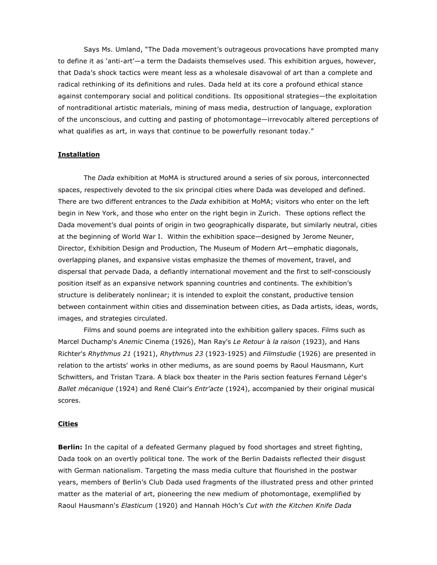Says Ms. Umland, "The Dada movement's outrageous provocations have prompted many to define it as 'anti-art'—a term the Dadaists themselves used. This exhibition argues, however, that Dada's shock tactics were meant less as a wholesale disavowal of art than a complete and radical rethinking of its definitions and rules. Dada held at its core a profound ethical stance against contemporary social and political conditions. Its oppositional strategies—the exploitation of nontraditional artistic materials, mining of mass media, destruction of language, exploration of the unconscious, and cutting and pasting of photomontage—irrevocably altered perceptions of what qualifies as art, in ways that continue to be powerfully resonant today."

#### **Installation**

The *Dada* exhibition at MoMA is structured around a series of six porous, interconnected spaces, respectively devoted to the six principal cities where Dada was developed and defined. There are two different entrances to the *Dada* exhibition at MoMA; visitors who enter on the left begin in New York, and those who enter on the right begin in Zurich. These options reflect the Dada movement's dual points of origin in two geographically disparate, but similarly neutral, cities at the beginning of World War I. Within the exhibition space—designed by Jerome Neuner, Director, Exhibition Design and Production, The Museum of Modern Art—emphatic diagonals, overlapping planes, and expansive vistas emphasize the themes of movement, travel, and dispersal that pervade Dada, a defiantly international movement and the first to self-consciously position itself as an expansive network spanning countries and continents. The exhibition's structure is deliberately nonlinear; it is intended to exploit the constant, productive tension between containment within cities and dissemination between cities, as Dada artists, ideas, words, images, and strategies circulated.

Films and sound poems are integrated into the exhibition gallery spaces. Films such as Marcel Duchamp's *Anemic* Cinema (1926), Man Ray's *Le Retour* à *la raison* (1923), and Hans Richter's *Rhythmus 21* (1921), *Rhythmus 23* (1923-1925) and *Filmstudie* (1926) are presented in relation to the artists' works in other mediums, as are sound poems by Raoul Hausmann, Kurt Schwitters, and Tristan Tzara. A black box theater in the Paris section features Fernand Léger's *Ballet m*é*canique* (1924) and René Clair's *Entr'acte* (1924), accompanied by their original musical scores.

## **Cities**

**Berlin:** In the capital of a defeated Germany plagued by food shortages and street fighting, Dada took on an overtly political tone. The work of the Berlin Dadaists reflected their disgust with German nationalism. Targeting the mass media culture that flourished in the postwar years, members of Berlin's Club Dada used fragments of the illustrated press and other printed matter as the material of art, pioneering the new medium of photomontage, exemplified by Raoul Hausmann's *Elasticum* (1920) and Hannah Höch's *Cut with the Kitchen Knife Dada*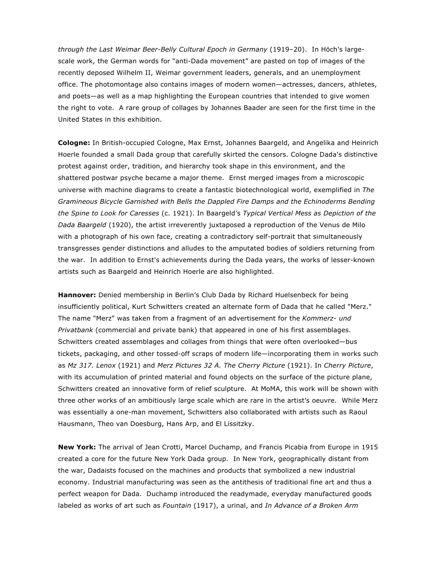*through the Last Weimar Beer-Belly Cultural Epoch in Germany* (1919–20). In Höch's largescale work, the German words for "anti-Dada movement" are pasted on top of images of the recently deposed Wilhelm II, Weimar government leaders, generals, and an unemployment office. The photomontage also contains images of modern women—actresses, dancers, athletes, and poets—as well as a map highlighting the European countries that intended to give women the right to vote. A rare group of collages by Johannes Baader are seen for the first time in the United States in this exhibition.

**Cologne:** In British-occupied Cologne, Max Ernst, Johannes Baargeld, and Angelika and Heinrich Hoerle founded a small Dada group that carefully skirted the censors. Cologne Dada's distinctive protest against order, tradition, and hierarchy took shape in this environment, and the shattered postwar psyche became a major theme. Ernst merged images from a microscopic universe with machine diagrams to create a fantastic biotechnological world, exemplified in *The Gramineous Bicycle Garnished with Bells the Dappled Fire Damps and the Echinoderms Bending the Spine to Look for Caresses* (c. 1921). In Baargeld's *Typical Vertical Mess as Depiction of the Dada Baargeld* (1920), the artist irreverently juxtaposed a reproduction of the Venus de Milo with a photograph of his own face, creating a contradictory self-portrait that simultaneously transgresses gender distinctions and alludes to the amputated bodies of soldiers returning from the war. In addition to Ernst's achievements during the Dada years, the works of lesser-known artists such as Baargeld and Heinrich Hoerle are also highlighted.

**Hannover:** Denied membership in Berlin's Club Dada by Richard Huelsenbeck for being insufficiently political, Kurt Schwitters created an alternate form of Dada that he called "Merz." The name "Merz" was taken from a fragment of an advertisement for the *Kommerz- und Privatbank* (commercial and private bank) that appeared in one of his first assemblages. Schwitters created assemblages and collages from things that were often overlooked—bus tickets, packaging, and other tossed-off scraps of modern life—incorporating them in works such as *Mz 317. Lenox* (1921) and *Merz Pictures 32 A. The Cherry Picture* (1921). In *Cherry Picture*, with its accumulation of printed material and found objects on the surface of the picture plane, Schwitters created an innovative form of relief sculpture. At MoMA, this work will be shown with three other works of an ambitiously large scale which are rare in the artist's oeuvre. While Merz was essentially a one-man movement, Schwitters also collaborated with artists such as Raoul Hausmann, Theo van Doesburg, Hans Arp, and El Lissitzky.

**New York:** The arrival of Jean Crotti, Marcel Duchamp, and Francis Picabia from Europe in 1915 created a core for the future New York Dada group. In New York, geographically distant from the war, Dadaists focused on the machines and products that symbolized a new industrial economy. Industrial manufacturing was seen as the antithesis of traditional fine art and thus a perfect weapon for Dada. Duchamp introduced the readymade, everyday manufactured goods labeled as works of art such as *Fountain* (1917), a urinal, and *In Advance of a Broken Arm*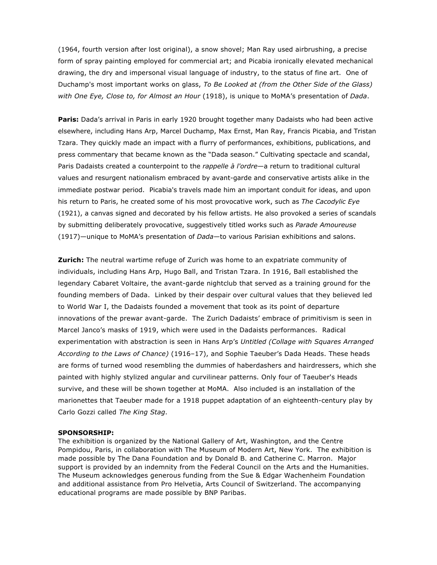(1964, fourth version after lost original), a snow shovel; Man Ray used airbrushing, a precise form of spray painting employed for commercial art; and Picabia ironically elevated mechanical drawing, the dry and impersonal visual language of industry, to the status of fine art. One of Duchamp's most important works on glass, *To Be Looked at (from the Other Side of the Glass) with One Eye, Close to, for Almost an Hour* (1918), is unique to MoMA's presentation of *Dada*.

**Paris:** Dada's arrival in Paris in early 1920 brought together many Dadaists who had been active elsewhere, including Hans Arp, Marcel Duchamp, Max Ernst, Man Ray, Francis Picabia, and Tristan Tzara. They quickly made an impact with a flurry of performances, exhibitions, publications, and press commentary that became known as the "Dada season." Cultivating spectacle and scandal, Paris Dadaists created a counterpoint to the *rappelle à l'ordre*—a return to traditional cultural values and resurgent nationalism embraced by avant-garde and conservative artists alike in the immediate postwar period. Picabia's travels made him an important conduit for ideas, and upon his return to Paris, he created some of his most provocative work, such as *The Cacodylic Eye* (1921), a canvas signed and decorated by his fellow artists. He also provoked a series of scandals by submitting deliberately provocative, suggestively titled works such as *Parade Amoureuse* (1917)—unique to MoMA's presentation of *Dada*—to various Parisian exhibitions and salons.

**Zurich:** The neutral wartime refuge of Zurich was home to an expatriate community of individuals, including Hans Arp, Hugo Ball, and Tristan Tzara. In 1916, Ball established the legendary Cabaret Voltaire, the avant-garde nightclub that served as a training ground for the founding members of Dada. Linked by their despair over cultural values that they believed led to World War I, the Dadaists founded a movement that took as its point of departure innovations of the prewar avant-garde. The Zurich Dadaists' embrace of primitivism is seen in Marcel Janco's masks of 1919, which were used in the Dadaists performances. Radical experimentation with abstraction is seen in Hans Arp's *Untitled (Collage with Squares Arranged According to the Laws of Chance)* (1916–17), and Sophie Taeuber's Dada Heads. These heads are forms of turned wood resembling the dummies of haberdashers and hairdressers, which she painted with highly stylized angular and curvilinear patterns. Only four of Taeuber's Heads survive, and these will be shown together at MoMA. Also included is an installation of the marionettes that Taeuber made for a 1918 puppet adaptation of an eighteenth-century play by Carlo Gozzi called *The King Stag*.

## **SPONSORSHIP:**

The exhibition is organized by the National Gallery of Art, Washington, and the Centre Pompidou, Paris, in collaboration with The Museum of Modern Art, New York. The exhibition is made possible by The Dana Foundation and by Donald B. and Catherine C. Marron. Major support is provided by an indemnity from the Federal Council on the Arts and the Humanities. The Museum acknowledges generous funding from the Sue & Edgar Wachenheim Foundation and additional assistance from Pro Helvetia, Arts Council of Switzerland. The accompanying educational programs are made possible by BNP Paribas.